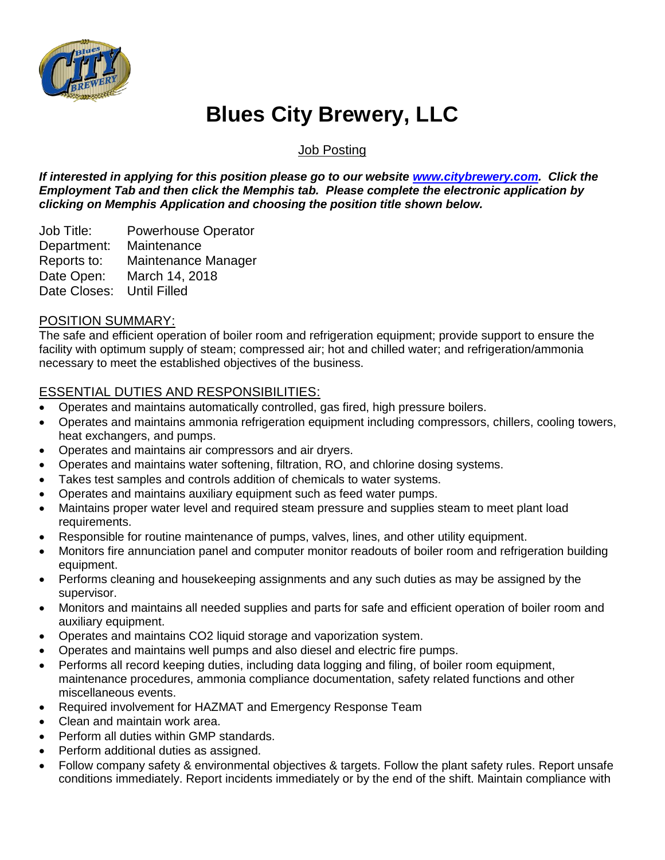

# **Blues City Brewery, LLC**

Job Posting

*If interested in applying for this position please go to our website [www.citybrewery.com.](http://www.citybrewery.com/) Click the Employment Tab and then click the Memphis tab. Please complete the electronic application by clicking on Memphis Application and choosing the position title shown below.*

Job Title: Powerhouse Operator Department: Maintenance Reports to: Maintenance Manager Date Open: March 14, 2018 Date Closes: Until Filled

# POSITION SUMMARY:

The safe and efficient operation of boiler room and refrigeration equipment; provide support to ensure the facility with optimum supply of steam; compressed air; hot and chilled water; and refrigeration/ammonia necessary to meet the established objectives of the business.

# ESSENTIAL DUTIES AND RESPONSIBILITIES:

- Operates and maintains automatically controlled, gas fired, high pressure boilers.
- Operates and maintains ammonia refrigeration equipment including compressors, chillers, cooling towers, heat exchangers, and pumps.
- Operates and maintains air compressors and air dryers.
- Operates and maintains water softening, filtration, RO, and chlorine dosing systems.
- Takes test samples and controls addition of chemicals to water systems.
- Operates and maintains auxiliary equipment such as feed water pumps.
- Maintains proper water level and required steam pressure and supplies steam to meet plant load requirements.
- Responsible for routine maintenance of pumps, valves, lines, and other utility equipment.
- Monitors fire annunciation panel and computer monitor readouts of boiler room and refrigeration building equipment.
- Performs cleaning and housekeeping assignments and any such duties as may be assigned by the supervisor.
- Monitors and maintains all needed supplies and parts for safe and efficient operation of boiler room and auxiliary equipment.
- Operates and maintains CO2 liquid storage and vaporization system.
- Operates and maintains well pumps and also diesel and electric fire pumps.
- Performs all record keeping duties, including data logging and filing, of boiler room equipment, maintenance procedures, ammonia compliance documentation, safety related functions and other miscellaneous events.
- Required involvement for HAZMAT and Emergency Response Team
- Clean and maintain work area.
- Perform all duties within GMP standards.
- Perform additional duties as assigned.
- Follow company safety & environmental objectives & targets. Follow the plant safety rules. Report unsafe conditions immediately. Report incidents immediately or by the end of the shift. Maintain compliance with